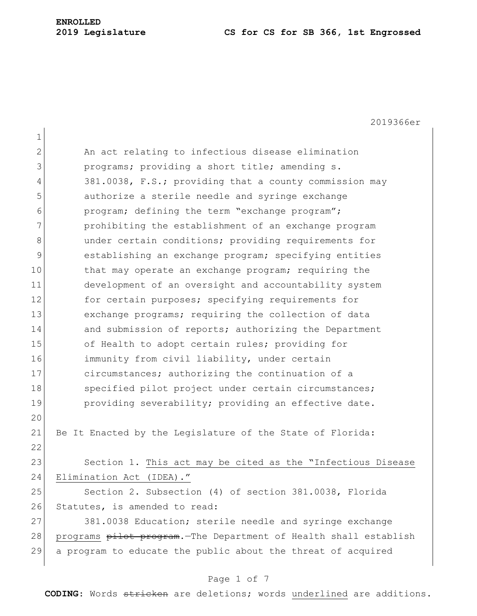# **ENROLLED**

#### **2019 Legislature CS for CS for SB 366, 1st Engrossed**

2019366er 1 2 An act relating to infectious disease elimination 3 **programs;** providing a short title; amending s. 4 381.0038, F.S.; providing that a county commission may 5 **b** authorize a sterile needle and syringe exchange 6 program; defining the term "exchange program"; 7 **prohibiting the establishment of an exchange program** 8 and the under certain conditions; providing requirements for 9 establishing an exchange program; specifying entities 10 that may operate an exchange program; requiring the 11 development of an oversight and accountability system 12 for certain purposes; specifying requirements for 13 exchange programs; requiring the collection of data 14 and submission of reports; authorizing the Department 15 of Health to adopt certain rules; providing for 16 immunity from civil liability, under certain 17 circumstances; authorizing the continuation of a 18 Specified pilot project under certain circumstances; 19 providing severability; providing an effective date. 20 21 Be It Enacted by the Legislature of the State of Florida: 22 23 Section 1. This act may be cited as the "Infectious Disease 24 Elimination Act (IDEA)." 25 Section 2. Subsection (4) of section 381.0038, Florida 26 Statutes, is amended to read: 27 381.0038 Education; sterile needle and syringe exchange 28 programs pilot program. The Department of Health shall establish 29 a program to educate the public about the threat of acquired

## Page 1 of 7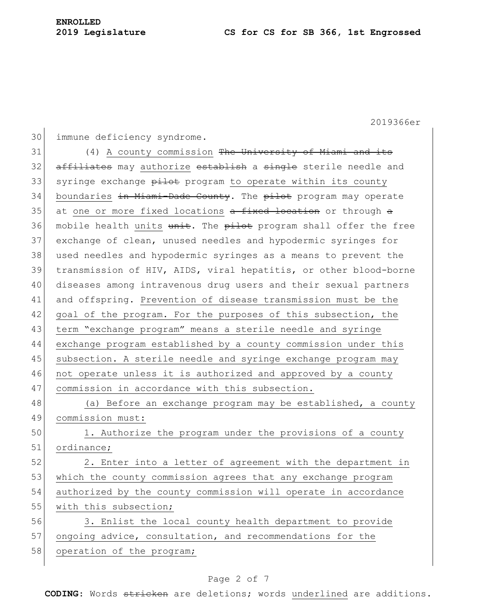2019366er

```
30 immune deficiency syndrome.
```
31 (4) A county commission <del>The University of Miami and its</del> 32 affiliates may authorize establish a single sterile needle and 33 syringe exchange pilot program to operate within its county 34 boundaries <del>in Miami-Dade County</del>. The pilot program may operate 35 at one or more fixed locations  $\frac{1}{x}$  and  $\frac{1}{x}$  are through  $\frac{1}{x}$ 36 mobile health units unit. The pilot program shall offer the free 37 exchange of clean, unused needles and hypodermic syringes for 38 used needles and hypodermic syringes as a means to prevent the 39 transmission of HIV, AIDS, viral hepatitis, or other blood-borne 40 diseases among intravenous drug users and their sexual partners 41 and offspring. Prevention of disease transmission must be the 42 goal of the program. For the purposes of this subsection, the 43 term "exchange program" means a sterile needle and syringe 44 exchange program established by a county commission under this 45 subsection. A sterile needle and syringe exchange program may 46 not operate unless it is authorized and approved by a county 47 commission in accordance with this subsection.

48 (a) Before an exchange program may be established, a county 49 commission must:

50 1. Authorize the program under the provisions of a county 51 ordinance;

52 2. Enter into a letter of agreement with the department in 53 which the county commission agrees that any exchange program 54 authorized by the county commission will operate in accordance 55 with this subsection;

56 3. Enlist the local county health department to provide 57 ongoing advice, consultation, and recommendations for the 58 operation of the program;

## Page 2 of 7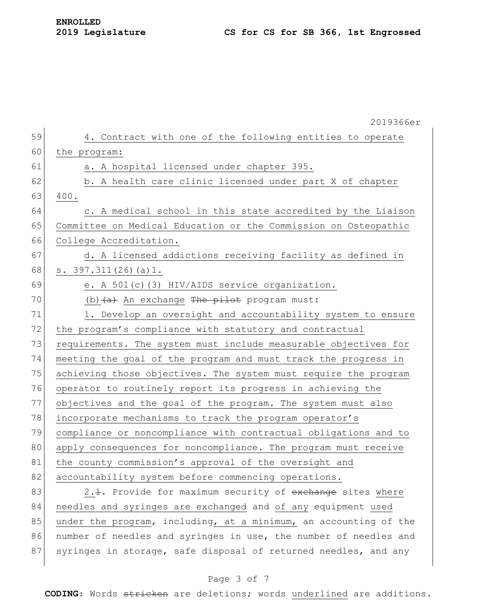|    | 2019366er                                                              |
|----|------------------------------------------------------------------------|
| 59 | 4. Contract with one of the following entities to operate              |
| 60 | the program:                                                           |
| 61 | a. A hospital licensed under chapter 395.                              |
| 62 | b. A health care clinic licensed under part X of chapter               |
| 63 | 400.                                                                   |
| 64 | c. A medical school in this state accredited by the Liaison            |
| 65 | Committee on Medical Education or the Commission on Osteopathic        |
| 66 | College Accreditation.                                                 |
| 67 | d. A licensed addictions receiving facility as defined in              |
| 68 | s. $397.311(26)$ (a) 1.                                                |
| 69 | e. A 501(c)(3) HIV/AIDS service organization.                          |
| 70 | (b) $(a)$ An exchange The pilot program must:                          |
| 71 | 1. Develop an oversight and accountability system to ensure            |
| 72 | the program's compliance with statutory and contractual                |
| 73 | requirements. The system must include measurable objectives for        |
| 74 | meeting the goal of the program and must track the progress in         |
| 75 | achieving those objectives. The system must require the program        |
| 76 | operator to routinely report its progress in achieving the             |
| 77 | objectives and the goal of the program. The system must also           |
| 78 | incorporate mechanisms to track the program operator's                 |
| 79 | compliance or noncompliance with contractual obligations and to        |
| 80 | apply consequences for noncompliance. The program must receive         |
| 81 | the county commission's approval of the oversight and                  |
| 82 | accountability system before commencing operations.                    |
| 83 | 2. <del>1</del> . Provide for maximum security of exchange sites where |
| 84 | needles and syringes are exchanged and of any equipment used           |
| 85 | under the program, including, at a minimum, an accounting of the       |
| 86 | number of needles and syringes in use, the number of needles and       |
| 87 | syringes in storage, safe disposal of returned needles, and any        |

## Page 3 of 7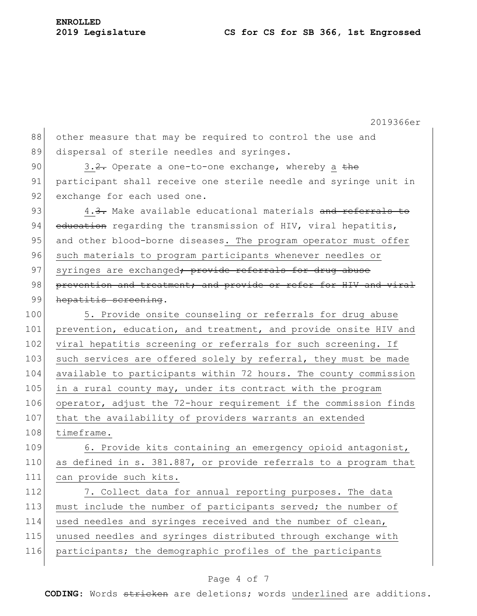2019366er 88 other measure that may be required to control the use and 89 dispersal of sterile needles and syringes. 90  $\vert$  3.2. Operate a one-to-one exchange, whereby a the 91 participant shall receive one sterile needle and syringe unit in 92 exchange for each used one. 93  $\vert$  4.3. Make available educational materials and referrals to 94 education regarding the transmission of HIV, viral hepatitis, 95 and other blood-borne diseases. The program operator must offer 96 such materials to program participants whenever needles or 97 syringes are exchanged<del>; provide referrals for drug abuse</del> 98 prevention and treatment; and provide or refer for HIV and viral 99 hepatitis screening. 100 5. Provide onsite counseling or referrals for drug abuse 101 prevention, education, and treatment, and provide onsite HIV and 102 viral hepatitis screening or referrals for such screening. If 103 such services are offered solely by referral, they must be made 104 available to participants within 72 hours. The county commission 105 in a rural county may, under its contract with the program 106 operator, adjust the 72-hour requirement if the commission finds 107 that the availability of providers warrants an extended 108 timeframe. 109 6. Provide kits containing an emergency opioid antagonist, 110 as defined in s. 381.887, or provide referrals to a program that 111 can provide such kits. 112 7. Collect data for annual reporting purposes. The data 113 must include the number of participants served; the number of 114 used needles and syringes received and the number of clean, 115 unused needles and syringes distributed through exchange with 116 participants; the demographic profiles of the participants

### Page 4 of 7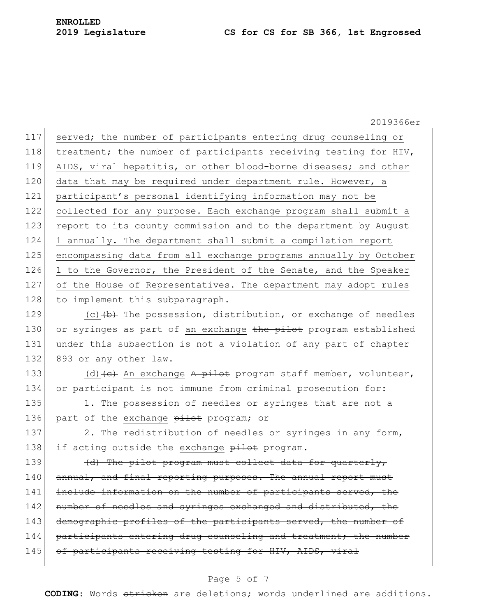2019366er 117 served; the number of participants entering drug counseling or 118 treatment; the number of participants receiving testing for HIV, 119 AIDS, viral hepatitis, or other blood-borne diseases; and other 120 data that may be required under department rule. However, a 121 participant's personal identifying information may not be 122 collected for any purpose. Each exchange program shall submit a 123 report to its county commission and to the department by August 124 1 annually. The department shall submit a compilation report 125 encompassing data from all exchange programs annually by October 126 1 to the Governor, the President of the Senate, and the Speaker 127 of the House of Representatives. The department may adopt rules 128 to implement this subparagraph. 129  $(c)$  (c)  $(b)$  The possession, distribution, or exchange of needles 130 or syringes as part of an exchange the pilot program established 131 under this subsection is not a violation of any part of chapter 132 893 or any other law. 133 (d)  $\left\{ e \right\}$  An exchange A pilot program staff member, volunteer, 134 or participant is not immune from criminal prosecution for: 135 1. The possession of needles or syringes that are not a 136 part of the exchange pilot program; or 137 2. The redistribution of needles or syringes in any form, 138 if acting outside the exchange pilot program. 139  $\frac{d}{dx}$  The pilot program must collect data for quarterly, 140 annual, and final reporting purposes. The annual report must 141 include information on the number of participants served, the 142 number of needles and syringes exchanged and distributed, the 143 demographic profiles of the participants served, the number of 144 participants entering drug counseling and treatment; the number 145 of participants receiving testing for HIV, AIDS, viral

#### Page 5 of 7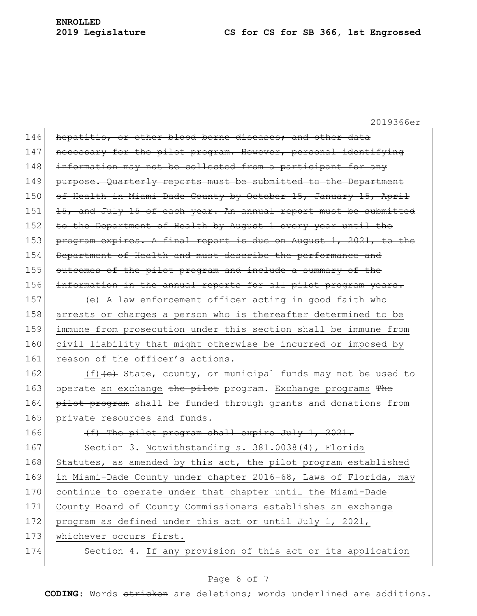2019366er

| 146 | hepatitis, or other blood-borne diseases; and other data         |
|-----|------------------------------------------------------------------|
| 147 | necessary for the pilot program. However, personal identifying   |
| 148 | information may not be collected from a participant for any      |
| 149 | purpose. Quarterly reports must be submitted to the Department   |
| 150 | of Health in Miami-Dade County by October 15, January 15, April  |
| 151 | 15, and July 15 of each year. An annual report must be submitted |
| 152 | to the Department of Health by August 1 every year until the     |
| 153 | program expires. A final report is due on August 1, 2021, to the |
| 154 | Department of Health and must describe the performance and       |
| 155 | outcomes of the pilot program and include a summary of the       |
| 156 | information in the annual reports for all pilot program years.   |
| 157 | (e) A law enforcement officer acting in good faith who           |
| 158 | arrests or charges a person who is thereafter determined to be   |
| 159 | immune from prosecution under this section shall be immune from  |
| 160 | civil liability that might otherwise be incurred or imposed by   |
| 161 | reason of the officer's actions.                                 |
| 162 | (f) $(e)$ State, county, or municipal funds may not be used to   |
|     |                                                                  |
| 163 | operate an exchange the pilot program. Exchange programs The     |
| 164 | pilot program shall be funded through grants and donations from  |
| 165 | private resources and funds.                                     |
| 166 | (f) The pilot program shall expire July 1, 2021.                 |
| 167 | Section 3. Notwithstanding s. 381.0038(4), Florida               |
| 168 | Statutes, as amended by this act, the pilot program established  |
| 169 | in Miami-Dade County under chapter 2016-68, Laws of Florida, may |
| 170 | continue to operate under that chapter until the Miami-Dade      |
| 171 | County Board of County Commissioners establishes an exchange     |
| 172 | program as defined under this act or until July 1, 2021,         |
| 173 | whichever occurs first.                                          |
| 174 | Section 4. If any provision of this act or its application       |

## Page 6 of 7